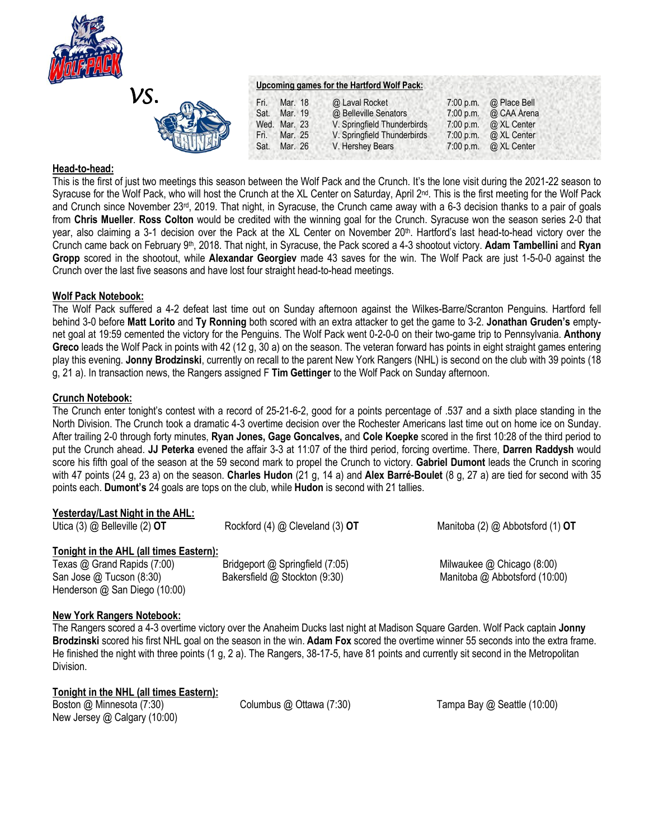



| Upcoming games for the Hartford Wolf Pack: |  |  |  |
|--------------------------------------------|--|--|--|
|                                            |  |  |  |

| Fri. | Mar. 18      | @ Laval Rocket              | 7:00 p.m. | @ Place Bell |  |
|------|--------------|-----------------------------|-----------|--------------|--|
| Sat. | Mar. 19      | @ Belleville Senators       | 7:00 p.m. | @ CAA Arena  |  |
|      | Wed. Mar. 23 | V. Springfield Thunderbirds | 7:00 p.m. | @ XL Center  |  |
| Fri. | Mar. 25      | V. Springfield Thunderbirds | 7:00 p.m. | @ XL Center  |  |
| Sat. | Mar. 26      | V. Hershey Bears            | 7:00 p.m. | @ XL Center  |  |
|      |              |                             |           |              |  |

# **Head-to-head:**

This is the first of just two meetings this season between the Wolf Pack and the Crunch. It's the lone visit during the 2021-22 season to Syracuse for the Wolf Pack, who will host the Crunch at the XL Center on Saturday, April 2<sup>nd</sup>. This is the first meeting for the Wolf Pack and Crunch since November 23rd, 2019. That night, in Syracuse, the Crunch came away with a 6-3 decision thanks to a pair of goals from **Chris Mueller**. **Ross Colton** would be credited with the winning goal for the Crunch. Syracuse won the season series 2-0 that year, also claiming a 3-1 decision over the Pack at the XL Center on November 20<sup>th</sup>. Hartford's last head-to-head victory over the Crunch came back on February 9th, 2018. That night, in Syracuse, the Pack scored a 4-3 shootout victory. **Adam Tambellini** and **Ryan Gropp** scored in the shootout, while **Alexandar Georgiev** made 43 saves for the win. The Wolf Pack are just 1-5-0-0 against the Crunch over the last five seasons and have lost four straight head-to-head meetings.

# **Wolf Pack Notebook:**

The Wolf Pack suffered a 4-2 defeat last time out on Sunday afternoon against the Wilkes-Barre/Scranton Penguins. Hartford fell behind 3-0 before **Matt Lorito** and **Ty Ronning** both scored with an extra attacker to get the game to 3-2. **Jonathan Gruden's** emptynet goal at 19:59 cemented the victory for the Penguins. The Wolf Pack went 0-2-0-0 on their two-game trip to Pennsylvania. **Anthony Greco** leads the Wolf Pack in points with 42 (12 g, 30 a) on the season. The veteran forward has points in eight straight games entering play this evening. **Jonny Brodzinski**, currently on recall to the parent New York Rangers (NHL) is second on the club with 39 points (18 g, 21 a). In transaction news, the Rangers assigned F **Tim Gettinger** to the Wolf Pack on Sunday afternoon.

# **Crunch Notebook:**

The Crunch enter tonight's contest with a record of 25-21-6-2, good for a points percentage of .537 and a sixth place standing in the North Division. The Crunch took a dramatic 4-3 overtime decision over the Rochester Americans last time out on home ice on Sunday. After trailing 2-0 through forty minutes, **Ryan Jones, Gage Goncalves,** and **Cole Koepke** scored in the first 10:28 of the third period to put the Crunch ahead. **JJ Peterka** evened the affair 3-3 at 11:07 of the third period, forcing overtime. There, **Darren Raddysh** would score his fifth goal of the season at the 59 second mark to propel the Crunch to victory. **Gabriel Dumont** leads the Crunch in scoring with 47 points (24 g, 23 a) on the season. **Charles Hudon** (21 g, 14 a) and **Alex Barré-Boulet** (8 g, 27 a) are tied for second with 35 points each. **Dumont's** 24 goals are tops on the club, while **Hudon** is second with 21 tallies.

| Yesterday/Last Night in the AHL:<br>Utica $(3)$ @ Belleville $(2)$ OT | Rockford (4) @ Cleveland (3) OT | Manitoba (2) @ Abbotsford (1) OT |
|-----------------------------------------------------------------------|---------------------------------|----------------------------------|
| Tonight in the AHL (all times Eastern):                               |                                 |                                  |
| Texas @ Grand Rapids (7:00)                                           | Bridgeport @ Springfield (7:05) | Milwaukee $@$ Chicago (8:00)     |
| San Jose @ Tucson (8:30)                                              | Bakersfield @ Stockton (9:30)   | Manitoba @ Abbotsford (10:00)    |
| Henderson @ San Diego (10:00)                                         |                                 |                                  |

# **New York Rangers Notebook:**

The Rangers scored a 4-3 overtime victory over the Anaheim Ducks last night at Madison Square Garden. Wolf Pack captain **Jonny Brodzinski** scored his first NHL goal on the season in the win. **Adam Fox** scored the overtime winner 55 seconds into the extra frame. He finished the night with three points (1 g, 2 a). The Rangers, 38-17-5, have 81 points and currently sit second in the Metropolitan Division.

**Tonight in the NHL (all times Eastern):**

Boston @ Minnesota (7:30)Columbus @ Ottawa (7:30) Tampa Bay @ Seattle (10:00) New Jersey @ Calgary (10:00)